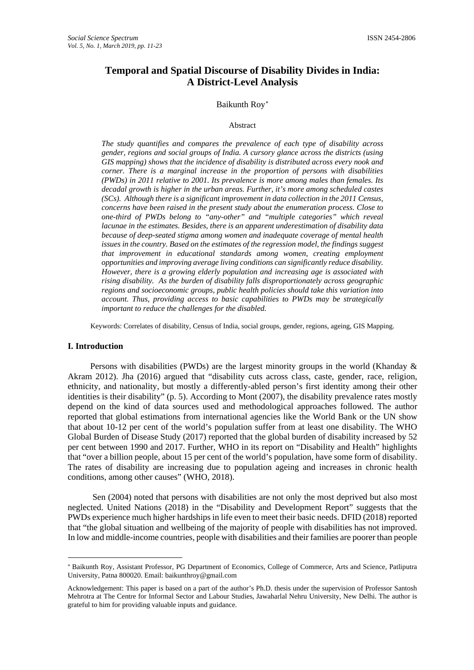# **Temporal and Spatial Discourse of Disability Divides in India: A District-Level Analysis**

## Baikunth Rov<sup>\*</sup>

#### Abstract

*The study quantifies and compares the prevalence of each type of disability across gender, regions and social groups of India. A cursory glance across the districts (using GIS mapping) shows that the incidence of disability is distributed across every nook and corner. There is a marginal increase in the proportion of persons with disabilities (PWDs) in 2011 relative to 2001. Its prevalence is more among males than females. Its decadal growth is higher in the urban areas. Further, it's more among scheduled castes (SCs). Although there is a significant improvement in data collection in the 2011 Census, concerns have been raised in the present study about the enumeration process. Close to one-third of PWDs belong to "any-other" and "multiple categories" which reveal lacunae in the estimates. Besides, there is an apparent underestimation of disability data because of deep-seated stigma among women and inadequate coverage of mental health issues in the country. Based on the estimates of the regression model, the findings suggest that improvement in educational standards among women, creating employment opportunities and improving average living conditions can significantly reduce disability. However, there is a growing elderly population and increasing age is associated with rising disability. As the burden of disability falls disproportionately across geographic regions and socioeconomic groups, public health policies should take this variation into account. Thus, providing access to basic capabilities to PWDs may be strategically important to reduce the challenges for the disabled.*

Keywords: Correlates of disability, Census of India, social groups, gender, regions, ageing, GIS Mapping.

#### **I. Introduction**

 $\overline{a}$ 

Persons with disabilities (PWDs) are the largest minority groups in the world (Khanday & Akram 2012). Jha (2016) argued that "disability cuts across class, caste, gender, race, religion, ethnicity, and nationality, but mostly a differently-abled person's first identity among their other identities is their disability" (p. 5). According to Mont (2007), the disability prevalence rates mostly depend on the kind of data sources used and methodological approaches followed. The author reported that global estimations from international agencies like the World Bank or the UN show that about 10-12 per cent of the world's population suffer from at least one disability. The WHO Global Burden of Disease Study (2017) reported that the global burden of disability increased by 52 per cent between 1990 and 2017. Further, WHO in its report on "Disability and Health" highlights that "over a billion people, about 15 per cent of the world's population, have some form of disability. The rates of disability are increasing due to population ageing and increases in chronic health conditions, among other causes" (WHO, 2018).

Sen (2004) noted that persons with disabilities are not only the most deprived but also most neglected. United Nations (2018) in the "Disability and Development Report" suggests that the PWDs experience much higher hardships in life even to meet their basic needs. DFID (2018) reported that "the global situation and wellbeing of the majority of people with disabilities has not improved. In low and middle-income countries, people with disabilities and their families are poorer than people

<span id="page-0-0"></span><sup>∗</sup> Baikunth Roy, Assistant Professor, PG Department of Economics, College of Commerce, Arts and Science, Patliputra University, Patna 800020. Email: [baikunthroy@gmail.com](mailto:baikunthroy@gmail.com)

Acknowledgement: This paper is based on a part of the author's Ph.D. thesis under the supervision of Professor Santosh Mehrotra at The Centre for Informal Sector and Labour Studies, Jawaharlal Nehru University, New Delhi. The author is grateful to him for providing valuable inputs and guidance.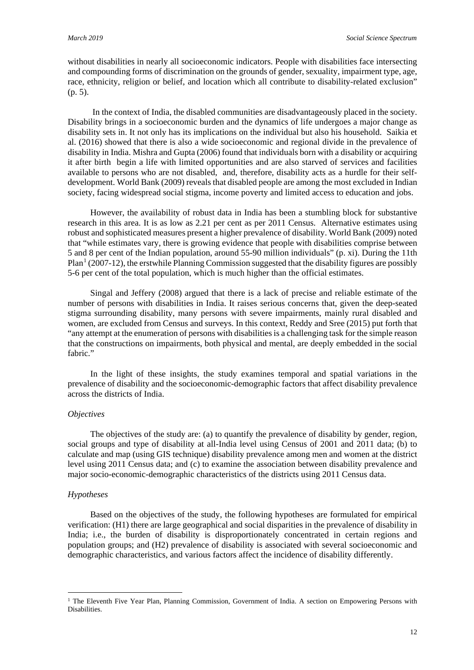without disabilities in nearly all socioeconomic indicators. People with disabilities face intersecting and compounding forms of discrimination on the grounds of gender, sexuality, impairment type, age, race, ethnicity, religion or belief, and location which all contribute to disability-related exclusion" (p. 5).

In the context of India, the disabled communities are disadvantageously placed in the society. Disability brings in a socioeconomic burden and the dynamics of life undergoes a major change as disability sets in. It not only has its implications on the individual but also his household. Saikia et al. (2016) showed that there is also a wide socioeconomic and regional divide in the prevalence of disability in India. Mishra and Gupta (2006) found that individuals born with a disability or acquiring it after birth begin a life with limited opportunities and are also starved of services and facilities available to persons who are not disabled, and, therefore, disability acts as a hurdle for their selfdevelopment. World Bank (2009) reveals that disabled people are among the most excluded in Indian society, facing widespread social stigma, income poverty and limited access to education and jobs.

However, the availability of robust data in India has been a stumbling block for substantive research in this area. It is as low as 2.21 per cent as per 2011 Census. Alternative estimates using robust and sophisticated measures present a higher prevalence of disability. World Bank (2009) noted that "while estimates vary, there is growing evidence that people with disabilities comprise between 5 and 8 per cent of the Indian population, around 55-90 million individuals" (p. xi). During the 11th  $Plan<sup>1</sup> (2007-12)$  $Plan<sup>1</sup> (2007-12)$  $Plan<sup>1</sup> (2007-12)$ , the erstwhile Planning Commission suggested that the disability figures are possibly 5-6 per cent of the total population, which is much higher than the official estimates.

Singal and Jeffery (2008) argued that there is a lack of precise and reliable estimate of the number of persons with disabilities in India. It raises serious concerns that, given the deep-seated stigma surrounding disability, many persons with severe impairments, mainly rural disabled and women, are excluded from Census and surveys. In this context, Reddy and Sree (2015) put forth that "any attempt at the enumeration of persons with disabilities is a challenging task for the simple reason that the constructions on impairments, both physical and mental, are deeply embedded in the social fabric."

In the light of these insights, the study examines temporal and spatial variations in the prevalence of disability and the socioeconomic-demographic factors that affect disability prevalence across the districts of India.

## *Objectives*

The objectives of the study are: (a) to quantify the prevalence of disability by gender, region, social groups and type of disability at all-India level using Census of 2001 and 2011 data; (b) to calculate and map (using GIS technique) disability prevalence among men and women at the district level using 2011 Census data; and (c) to examine the association between disability prevalence and major socio-economic-demographic characteristics of the districts using 2011 Census data.

## *Hypotheses*

 $\overline{a}$ 

Based on the objectives of the study, the following hypotheses are formulated for empirical verification: (H1) there are large geographical and social disparities in the prevalence of disability in India; i.e., the burden of disability is disproportionately concentrated in certain regions and population groups; and (H2) prevalence of disability is associated with several socioeconomic and demographic characteristics, and various factors affect the incidence of disability differently.

<span id="page-1-0"></span><sup>&</sup>lt;sup>1</sup> The Eleventh Five Year Plan, Planning Commission, Government of India. A section on Empowering Persons with Disabilities.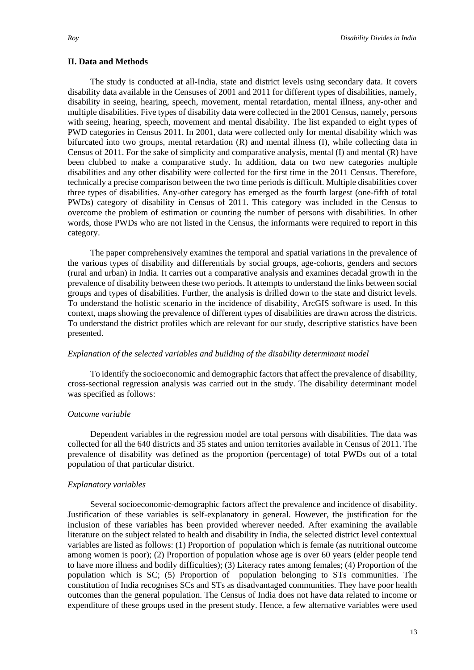#### **II. Data and Methods**

The study is conducted at all-India, state and district levels using secondary data. It covers disability data available in the Censuses of 2001 and 2011 for different types of disabilities, namely, disability in seeing, hearing, speech, movement, mental retardation, mental illness, any-other and multiple disabilities. Five types of disability data were collected in the 2001 Census, namely, persons with seeing, hearing, speech, movement and mental disability. The list expanded to eight types of PWD categories in Census 2011. In 2001, data were collected only for mental disability which was bifurcated into two groups, mental retardation  $(R)$  and mental illness  $(I)$ , while collecting data in Census of 2011. For the sake of simplicity and comparative analysis, mental (I) and mental (R) have been clubbed to make a comparative study. In addition, data on two new categories multiple disabilities and any other disability were collected for the first time in the 2011 Census. Therefore, technically a precise comparison between the two time periods is difficult. Multiple disabilities cover three types of disabilities. Any-other category has emerged as the fourth largest (one-fifth of total PWDs) category of disability in Census of 2011. This category was included in the Census to overcome the problem of estimation or counting the number of persons with disabilities. In other words, those PWDs who are not listed in the Census, the informants were required to report in this category.

The paper comprehensively examines the temporal and spatial variations in the prevalence of the various types of disability and differentials by social groups, age-cohorts, genders and sectors (rural and urban) in India. It carries out a comparative analysis and examines decadal growth in the prevalence of disability between these two periods. It attempts to understand the links between social groups and types of disabilities. Further, the analysis is drilled down to the state and district levels. To understand the holistic scenario in the incidence of disability, ArcGIS software is used. In this context, maps showing the prevalence of different types of disabilities are drawn across the districts. To understand the district profiles which are relevant for our study, descriptive statistics have been presented.

## *Explanation of the selected variables and building of the disability determinant model*

To identify the socioeconomic and demographic factors that affect the prevalence of disability, cross-sectional regression analysis was carried out in the study. The disability determinant model was specified as follows:

## *Outcome variable*

Dependent variables in the regression model are total persons with disabilities. The data was collected for all the 640 districts and 35 states and union territories available in Census of 2011. The prevalence of disability was defined as the proportion (percentage) of total PWDs out of a total population of that particular district.

## *Explanatory variables*

Several socioeconomic-demographic factors affect the prevalence and incidence of disability. Justification of these variables is self-explanatory in general. However, the justification for the inclusion of these variables has been provided wherever needed. After examining the available literature on the subject related to health and disability in India, the selected district level contextual variables are listed as follows: (1) Proportion of population which is female (as nutritional outcome among women is poor); (2) Proportion of population whose age is over 60 years (elder people tend to have more illness and bodily difficulties); (3) Literacy rates among females; (4) Proportion of the population which is SC; (5) Proportion of population belonging to STs communities. The constitution of India recognises SCs and STs as disadvantaged communities. They have poor health outcomes than the general population. The Census of India does not have data related to income or expenditure of these groups used in the present study. Hence, a few alternative variables were used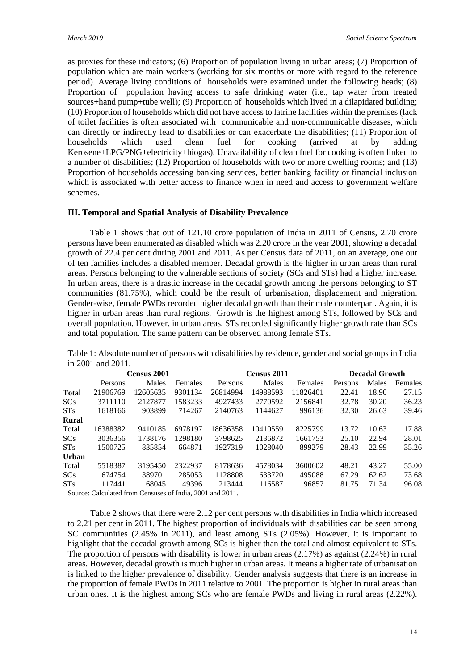as proxies for these indicators; (6) Proportion of population living in urban areas; (7) Proportion of population which are main workers (working for six months or more with regard to the reference period). Average living conditions of households were examined under the following heads; (8) Proportion of population having access to safe drinking water (i.e., tap water from treated sources+hand pump+tube well); (9) Proportion of households which lived in a dilapidated building; (10) Proportion of households which did not have access to latrine facilities within the premises (lack of toilet facilities is often associated with communicable and non-communicable diseases, which can directly or indirectly lead to disabilities or can exacerbate the disabilities; (11) Proportion of households which used clean fuel for cooking (arrived at by adding Kerosene+LPG/PNG+electricity+biogas). Unavailability of clean fuel for cooking is often linked to a number of disabilities; (12) Proportion of households with two or more dwelling rooms; and (13) Proportion of households accessing banking services, better banking facility or financial inclusion which is associated with better access to finance when in need and access to government welfare schemes.

## **III. Temporal and Spatial Analysis of Disability Prevalence**

Table 1 shows that out of 121.10 crore population of India in 2011 of Census, 2.70 crore persons have been enumerated as disabled which was 2.20 crore in the year 2001, showing a decadal growth of 22.4 per cent during 2001 and 2011. As per Census data of 2011, on an average, one out of ten families includes a disabled member. Decadal growth is the higher in urban areas than rural areas. Persons belonging to the vulnerable sections of society (SCs and STs) had a higher increase. In urban areas, there is a drastic increase in the decadal growth among the persons belonging to ST communities (81.75%), which could be the result of urbanisation, displacement and migration. Gender-wise, female PWDs recorded higher decadal growth than their male counterpart. Again, it is higher in urban areas than rural regions. Growth is the highest among STs, followed by SCs and overall population. However, in urban areas, STs recorded significantly higher growth rate than SCs and total population. The same pattern can be observed among female STs.

|                       | <b>Census 2001</b>                                       |          |         | Census 2011 |          |          | <b>Decadal Growth</b> |       |         |
|-----------------------|----------------------------------------------------------|----------|---------|-------------|----------|----------|-----------------------|-------|---------|
|                       | Persons                                                  | Males    | Females | Persons     | Males    | Females  | Persons               | Males | Females |
| <b>Total</b>          | 21906769                                                 | 12605635 | 9301134 | 26814994    | 14988593 | 11826401 | 22.41                 | 18.90 | 27.15   |
| <b>SCs</b>            | 3711110                                                  | 2127877  | 1583233 | 4927433     | 2770592  | 2156841  | 32.78                 | 30.20 | 36.23   |
| <b>ST<sub>s</sub></b> | 1618166                                                  | 903899   | 714267  | 2140763     | 1144627  | 996136   | 32.30                 | 26.63 | 39.46   |
| <b>Rural</b>          |                                                          |          |         |             |          |          |                       |       |         |
| Total                 | 16388382                                                 | 9410185  | 6978197 | 18636358    | 10410559 | 8225799  | 13.72                 | 10.63 | 17.88   |
| <b>SCs</b>            | 3036356                                                  | 1738176  | 1298180 | 3798625     | 2136872  | 1661753  | 25.10                 | 22.94 | 28.01   |
| <b>ST<sub>s</sub></b> | 1500725                                                  | 835854   | 664871  | 1927319     | 1028040  | 899279   | 28.43                 | 22.99 | 35.26   |
| <b>Urban</b>          |                                                          |          |         |             |          |          |                       |       |         |
| Total                 | 5518387                                                  | 3195450  | 2322937 | 8178636     | 4578034  | 3600602  | 48.21                 | 43.27 | 55.00   |
| <b>SCs</b>            | 674754                                                   | 389701   | 285053  | 1128808     | 633720   | 495088   | 67.29                 | 62.62 | 73.68   |
| <b>ST<sub>s</sub></b> | 117441                                                   | 68045    | 49396   | 213444      | 116587   | 96857    | 81.75                 | 71.34 | 96.08   |
|                       | Source: Coloulated from Conguese of India, 2001 and 2011 |          |         |             |          |          |                       |       |         |

Table 1: Absolute number of persons with disabilities by residence, gender and social groups in India in 2001 and 2011.

Source: Calculated from Censuses of India, 2001 and 2011.

Table 2 shows that there were 2.12 per cent persons with disabilities in India which increased to 2.21 per cent in 2011. The highest proportion of individuals with disabilities can be seen among SC communities (2.45% in 2011), and least among STs (2.05%). However, it is important to highlight that the decadal growth among SCs is higher than the total and almost equivalent to STs. The proportion of persons with disability is lower in urban areas  $(2.17%)$  as against  $(2.24%)$  in rural areas. However, decadal growth is much higher in urban areas. It means a higher rate of urbanisation is linked to the higher prevalence of disability. Gender analysis suggests that there is an increase in the proportion of female PWDs in 2011 relative to 2001. The proportion is higher in rural areas than urban ones. It is the highest among SCs who are female PWDs and living in rural areas (2.22%).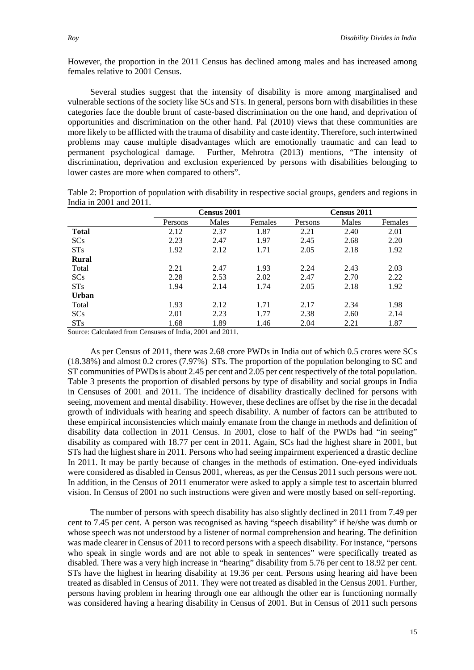However, the proportion in the 2011 Census has declined among males and has increased among females relative to 2001 Census.

Several studies suggest that the intensity of disability is more among marginalised and vulnerable sections of the society like SCs and STs. In general, persons born with disabilities in these categories face the double brunt of caste-based discrimination on the one hand, and deprivation of opportunities and discrimination on the other hand. Pal (2010) views that these communities are more likely to be afflicted with the trauma of disability and caste identity. Therefore, such intertwined problems may cause multiple disadvantages which are emotionally traumatic and can lead to permanent psychological damage. Further, Mehrotra (2013) mentions, "The intensity of discrimination, deprivation and exclusion experienced by persons with disabilities belonging to lower castes are more when compared to others".

|              |         | Census 2001 |         |         | Census 2011 |         |
|--------------|---------|-------------|---------|---------|-------------|---------|
|              | Persons | Males       | Females | Persons | Males       | Females |
| <b>Total</b> | 2.12    | 2.37        | 1.87    | 2.21    | 2.40        | 2.01    |
| <b>SCs</b>   | 2.23    | 2.47        | 1.97    | 2.45    | 2.68        | 2.20    |
| STs          | 1.92    | 2.12        | 1.71    | 2.05    | 2.18        | 1.92    |
| Rural        |         |             |         |         |             |         |
| Total        | 2.21    | 2.47        | 1.93    | 2.24    | 2.43        | 2.03    |
| <b>SCs</b>   | 2.28    | 2.53        | 2.02    | 2.47    | 2.70        | 2.22    |
| STs          | 1.94    | 2.14        | 1.74    | 2.05    | 2.18        | 1.92    |
| <b>Urban</b> |         |             |         |         |             |         |
| Total        | 1.93    | 2.12        | 1.71    | 2.17    | 2.34        | 1.98    |
| <b>SCs</b>   | 2.01    | 2.23        | 1.77    | 2.38    | 2.60        | 2.14    |

STs 1.68 1.89 1.46 2.04 2.21 1.87

Table 2: Proportion of population with disability in respective social groups, genders and regions in India in 2001 and 2011.

Source: Calculated from Censuses of India, 2001 and 2011.

As per Census of 2011, there was 2.68 crore PWDs in India out of which 0.5 crores were SCs (18.38%) and almost 0.2 crores (7.97%) STs. The proportion of the population belonging to SC and ST communities of PWDs is about 2.45 per cent and 2.05 per cent respectively of the total population. Table 3 presents the proportion of disabled persons by type of disability and social groups in India in Censuses of 2001 and 2011. The incidence of disability drastically declined for persons with seeing, movement and mental disability. However, these declines are offset by the rise in the decadal growth of individuals with hearing and speech disability. A number of factors can be attributed to these empirical inconsistencies which mainly emanate from the change in methods and definition of disability data collection in 2011 Census. In 2001, close to half of the PWDs had "in seeing" disability as compared with 18.77 per cent in 2011. Again, SCs had the highest share in 2001, but STs had the highest share in 2011. Persons who had seeing impairment experienced a drastic decline In 2011. It may be partly because of changes in the methods of estimation. One-eyed individuals were considered as disabled in Census 2001, whereas, as per the Census 2011 such persons were not. In addition, in the Census of 2011 enumerator were asked to apply a simple test to ascertain blurred vision. In Census of 2001 no such instructions were given and were mostly based on self-reporting.

The number of persons with speech disability has also slightly declined in 2011 from 7.49 per cent to 7.45 per cent. A person was recognised as having "speech disability" if he/she was dumb or whose speech was not understood by a listener of normal comprehension and hearing. The definition was made clearer in Census of 2011 to record persons with a speech disability. For instance, "persons who speak in single words and are not able to speak in sentences" were specifically treated as disabled. There was a very high increase in "hearing" disability from 5.76 per cent to 18.92 per cent. STs have the highest in hearing disability at 19.36 per cent. Persons using hearing aid have been treated as disabled in Census of 2011. They were not treated as disabled in the Census 2001. Further, persons having problem in hearing through one ear although the other ear is functioning normally was considered having a hearing disability in Census of 2001. But in Census of 2011 such persons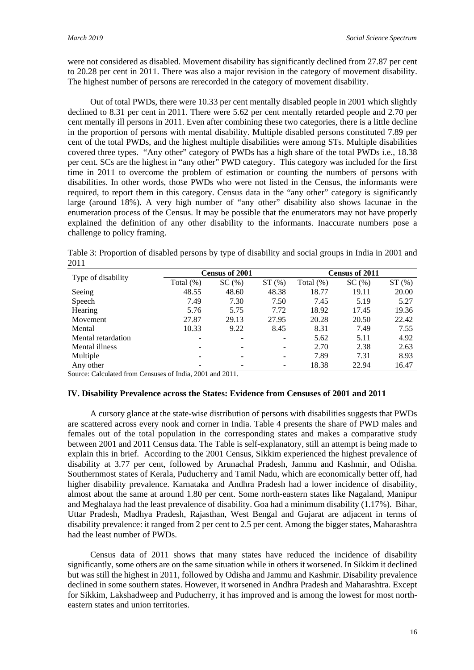were not considered as disabled. Movement disability has significantly declined from 27.87 per cent to 20.28 per cent in 2011. There was also a major revision in the category of movement disability. The highest number of persons are rerecorded in the category of movement disability.

Out of total PWDs, there were 10.33 per cent mentally disabled people in 2001 which slightly declined to 8.31 per cent in 2011. There were 5.62 per cent mentally retarded people and 2.70 per cent mentally ill persons in 2011. Even after combining these two categories, there is a little decline in the proportion of persons with mental disability. Multiple disabled persons constituted 7.89 per cent of the total PWDs, and the highest multiple disabilities were among STs. Multiple disabilities covered three types. "Any other" category of PWDs has a high share of the total PWDs i.e., 18.38 per cent. SCs are the highest in "any other" PWD category. This category was included for the first time in 2011 to overcome the problem of estimation or counting the numbers of persons with disabilities. In other words, those PWDs who were not listed in the Census, the informants were required, to report them in this category. Census data in the "any other" category is significantly large (around 18%). A very high number of "any other" disability also shows lacunae in the enumeration process of the Census. It may be possible that the enumerators may not have properly explained the definition of any other disability to the informants. Inaccurate numbers pose a challenge to policy framing.

Table 3: Proportion of disabled persons by type of disability and social groups in India in 2001 and 2011

|                    |           | <b>Census of 2001</b> |       | Census of 2011 |       |       |  |
|--------------------|-----------|-----------------------|-------|----------------|-------|-------|--|
| Type of disability | Total (%) | SC(%)                 | ST(%) | Total (%)      | SC(%) | ST(%) |  |
| Seeing             | 48.55     | 48.60                 | 48.38 | 18.77          | 19.11 | 20.00 |  |
| Speech             | 7.49      | 7.30                  | 7.50  | 7.45           | 5.19  | 5.27  |  |
| Hearing            | 5.76      | 5.75                  | 7.72  | 18.92          | 17.45 | 19.36 |  |
| Movement           | 27.87     | 29.13                 | 27.95 | 20.28          | 20.50 | 22.42 |  |
| Mental             | 10.33     | 9.22                  | 8.45  | 8.31           | 7.49  | 7.55  |  |
| Mental retardation | ۰         | -                     | ۰     | 5.62           | 5.11  | 4.92  |  |
| Mental illness     |           | ۰                     | ۰     | 2.70           | 2.38  | 2.63  |  |
| Multiple           |           | ۰                     | ۰     | 7.89           | 7.31  | 8.93  |  |
| Any other          | ۰         |                       | ۰     | 18.38          | 22.94 | 16.47 |  |

Source: Calculated from Censuses of India, 2001 and 2011.

## **IV. Disability Prevalence across the States: Evidence from Censuses of 2001 and 2011**

A cursory glance at the state-wise distribution of persons with disabilities suggests that PWDs are scattered across every nook and corner in India. Table 4 presents the share of PWD males and females out of the total population in the corresponding states and makes a comparative study between 2001 and 2011 Census data. The Table is self-explanatory, still an attempt is being made to explain this in brief. According to the 2001 Census, Sikkim experienced the highest prevalence of disability at 3.77 per cent, followed by Arunachal Pradesh, Jammu and Kashmir, and Odisha. Southernmost states of Kerala, Puducherry and Tamil Nadu, which are economically better off, had higher disability prevalence. Karnataka and Andhra Pradesh had a lower incidence of disability, almost about the same at around 1.80 per cent. Some north-eastern states like Nagaland, Manipur and Meghalaya had the least prevalence of disability. Goa had a minimum disability (1.17%). Bihar, Uttar Pradesh, Madhya Pradesh, Rajasthan, West Bengal and Gujarat are adjacent in terms of disability prevalence: it ranged from 2 per cent to 2.5 per cent. Among the bigger states, Maharashtra had the least number of PWDs.

Census data of 2011 shows that many states have reduced the incidence of disability significantly, some others are on the same situation while in others it worsened. In Sikkim it declined but was still the highest in 2011, followed by Odisha and Jammu and Kashmir. Disability prevalence declined in some southern states. However, it worsened in Andhra Pradesh and Maharashtra. Except for Sikkim, Lakshadweep and Puducherry, it has improved and is among the lowest for most northeastern states and union territories.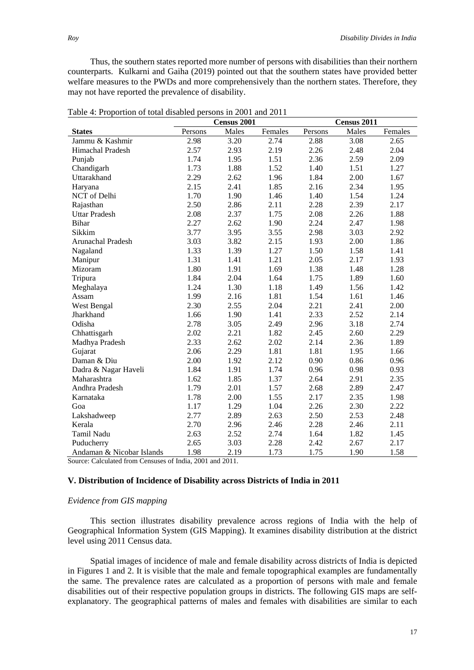Thus, the southern states reported more number of persons with disabilities than their northern counterparts. Kulkarni and Gaiha (2019) pointed out that the southern states have provided better welfare measures to the PWDs and more comprehensively than the northern states. Therefore, they may not have reported the prevalence of disability.

|                           | Census 2001 |       |         | Census 2011 |       |         |  |
|---------------------------|-------------|-------|---------|-------------|-------|---------|--|
| <b>States</b>             | Persons     | Males | Females | Persons     | Males | Females |  |
| Jammu & Kashmir           | 2.98        | 3.20  | 2.74    | 2.88        | 3.08  | 2.65    |  |
| Himachal Pradesh          | 2.57        | 2.93  | 2.19    | 2.26        | 2.48  | 2.04    |  |
| Punjab                    | 1.74        | 1.95  | 1.51    | 2.36        | 2.59  | 2.09    |  |
| Chandigarh                | 1.73        | 1.88  | 1.52    | 1.40        | 1.51  | 1.27    |  |
| Uttarakhand               | 2.29        | 2.62  | 1.96    | 1.84        | 2.00  | 1.67    |  |
| Haryana                   | 2.15        | 2.41  | 1.85    | 2.16        | 2.34  | 1.95    |  |
| NCT of Delhi              | 1.70        | 1.90  | 1.46    | 1.40        | 1.54  | 1.24    |  |
| Rajasthan                 | 2.50        | 2.86  | 2.11    | 2.28        | 2.39  | 2.17    |  |
| <b>Uttar Pradesh</b>      | 2.08        | 2.37  | 1.75    | 2.08        | 2.26  | 1.88    |  |
| <b>Bihar</b>              | 2.27        | 2.62  | 1.90    | 2.24        | 2.47  | 1.98    |  |
| Sikkim                    | 3.77        | 3.95  | 3.55    | 2.98        | 3.03  | 2.92    |  |
| <b>Arunachal Pradesh</b>  | 3.03        | 3.82  | 2.15    | 1.93        | 2.00  | 1.86    |  |
| Nagaland                  | 1.33        | 1.39  | 1.27    | 1.50        | 1.58  | 1.41    |  |
| Manipur                   | 1.31        | 1.41  | 1.21    | 2.05        | 2.17  | 1.93    |  |
| Mizoram                   | 1.80        | 1.91  | 1.69    | 1.38        | 1.48  | 1.28    |  |
| Tripura                   | 1.84        | 2.04  | 1.64    | 1.75        | 1.89  | 1.60    |  |
| Meghalaya                 | 1.24        | 1.30  | 1.18    | 1.49        | 1.56  | 1.42    |  |
| Assam                     | 1.99        | 2.16  | 1.81    | 1.54        | 1.61  | 1.46    |  |
| West Bengal               | 2.30        | 2.55  | 2.04    | 2.21        | 2.41  | 2.00    |  |
| Jharkhand                 | 1.66        | 1.90  | 1.41    | 2.33        | 2.52  | 2.14    |  |
| Odisha                    | 2.78        | 3.05  | 2.49    | 2.96        | 3.18  | 2.74    |  |
| Chhattisgarh              | 2.02        | 2.21  | 1.82    | 2.45        | 2.60  | 2.29    |  |
| Madhya Pradesh            | 2.33        | 2.62  | 2.02    | 2.14        | 2.36  | 1.89    |  |
| Gujarat                   | 2.06        | 2.29  | 1.81    | 1.81        | 1.95  | 1.66    |  |
| Daman & Diu               | 2.00        | 1.92  | 2.12    | 0.90        | 0.86  | 0.96    |  |
| Dadra & Nagar Haveli      | 1.84        | 1.91  | 1.74    | 0.96        | 0.98  | 0.93    |  |
| Maharashtra               | 1.62        | 1.85  | 1.37    | 2.64        | 2.91  | 2.35    |  |
| Andhra Pradesh            | 1.79        | 2.01  | 1.57    | 2.68        | 2.89  | 2.47    |  |
| Karnataka                 | 1.78        | 2.00  | 1.55    | 2.17        | 2.35  | 1.98    |  |
| Goa                       | 1.17        | 1.29  | 1.04    | 2.26        | 2.30  | 2.22    |  |
| Lakshadweep               | 2.77        | 2.89  | 2.63    | 2.50        | 2.53  | 2.48    |  |
| Kerala                    | 2.70        | 2.96  | 2.46    | 2.28        | 2.46  | 2.11    |  |
| Tamil Nadu                | 2.63        | 2.52  | 2.74    | 1.64        | 1.82  | 1.45    |  |
| Puducherry                | 2.65        | 3.03  | 2.28    | 2.42        | 2.67  | 2.17    |  |
| Andaman & Nicobar Islands | 1.98        | 2.19  | 1.73    | 1.75        | 1.90  | 1.58    |  |

Table 4: Proportion of total disabled persons in 2001 and 2011

Source: Calculated from Censuses of India, 2001 and 2011.

## **V. Distribution of Incidence of Disability across Districts of India in 2011**

## *Evidence from GIS mapping*

This section illustrates disability prevalence across regions of India with the help of Geographical Information System (GIS Mapping). It examines disability distribution at the district level using 2011 Census data.

Spatial images of incidence of male and female disability across districts of India is depicted in Figures 1 and 2. It is visible that the male and female topographical examples are fundamentally the same. The prevalence rates are calculated as a proportion of persons with male and female disabilities out of their respective population groups in districts. The following GIS maps are selfexplanatory. The geographical patterns of males and females with disabilities are similar to each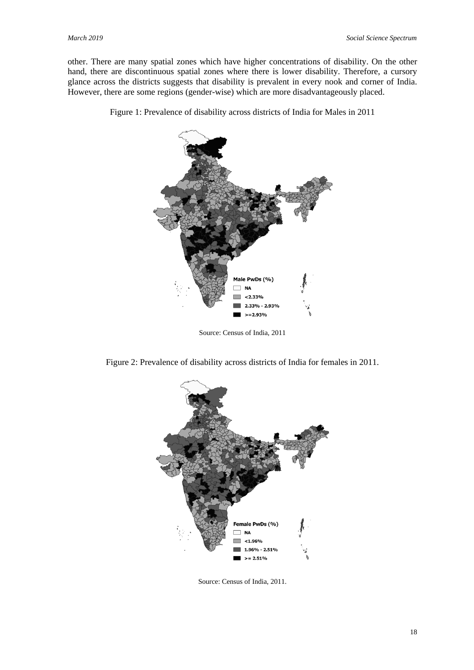other. There are many spatial zones which have higher concentrations of disability. On the other hand, there are discontinuous spatial zones where there is lower disability. Therefore, a cursory glance across the districts suggests that disability is prevalent in every nook and corner of India. However, there are some regions (gender-wise) which are more disadvantageously placed.



Figure 1: Prevalence of disability across districts of India for Males in 2011

Source: Census of India, 2011

Figure 2: Prevalence of disability across districts of India for females in 2011.



Source: Census of India, 2011.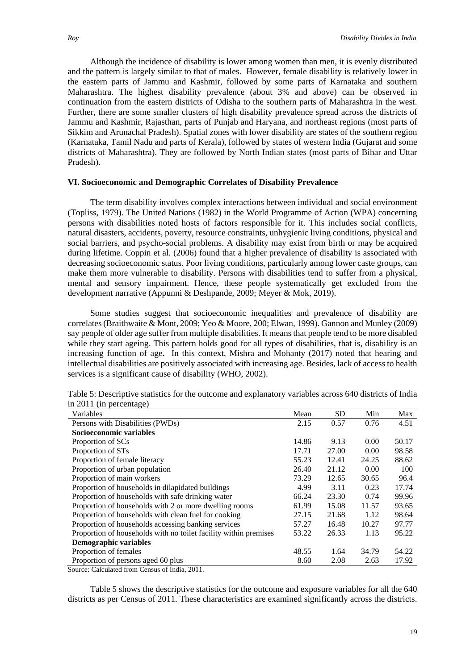Although the incidence of disability is lower among women than men, it is evenly distributed and the pattern is largely similar to that of males. However, female disability is relatively lower in the eastern parts of Jammu and Kashmir, followed by some parts of Karnataka and southern Maharashtra. The highest disability prevalence (about 3% and above) can be observed in continuation from the eastern districts of Odisha to the southern parts of Maharashtra in the west. Further, there are some smaller clusters of high disability prevalence spread across the districts of Jammu and Kashmir, Rajasthan, parts of Punjab and Haryana, and northeast regions (most parts of Sikkim and Arunachal Pradesh). Spatial zones with lower disability are states of the southern region (Karnataka, Tamil Nadu and parts of Kerala), followed by states of western India (Gujarat and some districts of Maharashtra). They are followed by North Indian states (most parts of Bihar and Uttar Pradesh).

# **VI. Socioeconomic and Demographic Correlates of Disability Prevalence**

The term disability involves complex interactions between individual and social environment (Topliss, 1979). The United Nations (1982) in the World Programme of Action (WPA) concerning persons with disabilities noted hosts of factors responsible for it. This includes social conflicts, natural disasters, accidents, poverty, resource constraints, unhygienic living conditions, physical and social barriers, and psycho-social problems. A disability may exist from birth or may be acquired during lifetime. Coppin et al. (2006) found that a higher prevalence of disability is associated with decreasing socioeconomic status. Poor living conditions, particularly among lower caste groups, can make them more vulnerable to disability. Persons with disabilities tend to suffer from a physical, mental and sensory impairment. Hence, these people systematically get excluded from the development narrative (Appunni & Deshpande, 2009; Meyer & Mok, 2019).

Some studies suggest that socioeconomic inequalities and prevalence of disability are correlates (Braithwaite & Mont, 2009; Yeo & Moore, 200; Elwan, 1999). Gannon and Munley (2009) say people of older age suffer from multiple disabilities. It means that people tend to be more disabled while they start ageing. This pattern holds good for all types of disabilities, that is, disability is an increasing function of age**.** In this context, Mishra and Mohanty (2017) noted that hearing and intellectual disabilities are positively associated with increasing age. Besides, lack of access to health services is a significant cause of disability (WHO, 2002).

| Variables                                                                                 | Mean  | <b>SD</b> | Min   | Max   |
|-------------------------------------------------------------------------------------------|-------|-----------|-------|-------|
| Persons with Disabilities (PWDs)                                                          | 2.15  | 0.57      | 0.76  | 4.51  |
| Socioeconomic variables                                                                   |       |           |       |       |
| Proportion of SCs                                                                         | 14.86 | 9.13      | 0.00  | 50.17 |
| Proportion of ST <sub>s</sub>                                                             | 17.71 | 27.00     | 0.00  | 98.58 |
| Proportion of female literacy                                                             | 55.23 | 12.41     | 24.25 | 88.62 |
| Proportion of urban population                                                            | 26.40 | 21.12     | 0.00  | 100   |
| Proportion of main workers                                                                | 73.29 | 12.65     | 30.65 | 96.4  |
| Proportion of households in dilapidated buildings                                         | 4.99  | 3.11      | 0.23  | 17.74 |
| Proportion of households with safe drinking water                                         | 66.24 | 23.30     | 0.74  | 99.96 |
| Proportion of households with 2 or more dwelling rooms                                    | 61.99 | 15.08     | 11.57 | 93.65 |
| Proportion of households with clean fuel for cooking                                      | 27.15 | 21.68     | 1.12  | 98.64 |
| Proportion of households accessing banking services                                       | 57.27 | 16.48     | 10.27 | 97.77 |
| Proportion of households with no toilet facility within premises                          | 53.22 | 26.33     | 1.13  | 95.22 |
| Demographic variables                                                                     |       |           |       |       |
| Proportion of females                                                                     | 48.55 | 1.64      | 34.79 | 54.22 |
| Proportion of persons aged 60 plus                                                        | 8.60  | 2.08      | 2.63  | 17.92 |
| $C_1, \ldots, C_n$ . $C_n$ . $C_2, \ldots, C_n$ . $C_3, \ldots, C_n$ . $C_4, \ldots, C_n$ |       |           |       |       |

Table 5: Descriptive statistics for the outcome and explanatory variables across 640 districts of India in 2011 (in percentage)

Source: Calculated from Census of India, 2011.

Table 5 shows the descriptive statistics for the outcome and exposure variables for all the 640 districts as per Census of 2011. These characteristics are examined significantly across the districts.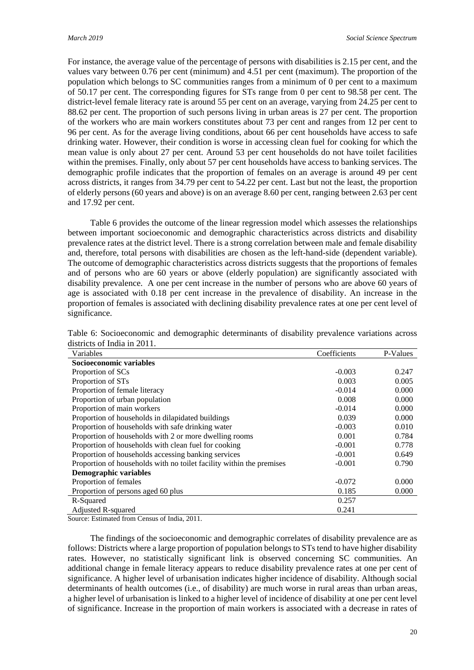For instance, the average value of the percentage of persons with disabilities is 2.15 per cent, and the values vary between 0.76 per cent (minimum) and 4.51 per cent (maximum). The proportion of the population which belongs to SC communities ranges from a minimum of 0 per cent to a maximum of 50.17 per cent. The corresponding figures for STs range from 0 per cent to 98.58 per cent. The district-level female literacy rate is around 55 per cent on an average, varying from 24.25 per cent to 88.62 per cent. The proportion of such persons living in urban areas is 27 per cent. The proportion of the workers who are main workers constitutes about 73 per cent and ranges from 12 per cent to 96 per cent. As for the average living conditions, about 66 per cent households have access to safe drinking water. However, their condition is worse in accessing clean fuel for cooking for which the mean value is only about 27 per cent. Around 53 per cent households do not have toilet facilities within the premises. Finally, only about 57 per cent households have access to banking services. The demographic profile indicates that the proportion of females on an average is around 49 per cent across districts, it ranges from 34.79 per cent to 54.22 per cent. Last but not the least, the proportion of elderly persons (60 years and above) is on an average 8.60 per cent, ranging between 2.63 per cent and 17.92 per cent.

Table 6 provides the outcome of the linear regression model which assesses the relationships between important socioeconomic and demographic characteristics across districts and disability prevalence rates at the district level. There is a strong correlation between male and female disability and, therefore, total persons with disabilities are chosen as the left-hand-side (dependent variable). The outcome of demographic characteristics across districts suggests that the proportions of females and of persons who are 60 years or above (elderly population) are significantly associated with disability prevalence. A one per cent increase in the number of persons who are above 60 years of age is associated with 0.18 per cent increase in the prevalence of disability. An increase in the proportion of females is associated with declining disability prevalence rates at one per cent level of significance.

| Variables                                                            | Coefficients | P-Values |
|----------------------------------------------------------------------|--------------|----------|
| Socioeconomic variables                                              |              |          |
| Proportion of SCs                                                    | $-0.003$     | 0.247    |
| Proportion of STs                                                    | 0.003        | 0.005    |
| Proportion of female literacy                                        | $-0.014$     | 0.000    |
| Proportion of urban population                                       | 0.008        | 0.000    |
| Proportion of main workers                                           | $-0.014$     | 0.000    |
| Proportion of households in dilapidated buildings                    | 0.039        | 0.000    |
| Proportion of households with safe drinking water                    | $-0.003$     | 0.010    |
| Proportion of households with 2 or more dwelling rooms               | 0.001        | 0.784    |
| Proportion of households with clean fuel for cooking                 | $-0.001$     | 0.778    |
| Proportion of households accessing banking services                  | $-0.001$     | 0.649    |
| Proportion of households with no toilet facility within the premises | $-0.001$     | 0.790    |
| Demographic variables                                                |              |          |
| Proportion of females                                                | $-0.072$     | 0.000    |
| Proportion of persons aged 60 plus                                   | 0.185        | 0.000    |
| R-Squared                                                            | 0.257        |          |
| <b>Adjusted R-squared</b>                                            | 0.241        |          |

Table 6: Socioeconomic and demographic determinants of disability prevalence variations across districts of India in 2011.

Source: Estimated from Census of India, 2011.

The findings of the socioeconomic and demographic correlates of disability prevalence are as follows: Districts where a large proportion of population belongsto STs tend to have higher disability rates. However, no statistically significant link is observed concerning SC communities. An additional change in female literacy appears to reduce disability prevalence rates at one per cent of significance. A higher level of urbanisation indicates higher incidence of disability. Although social determinants of health outcomes (i.e., of disability) are much worse in rural areas than urban areas, a higher level of urbanisation is linked to a higher level of incidence of disability at one per cent level of significance. Increase in the proportion of main workers is associated with a decrease in rates of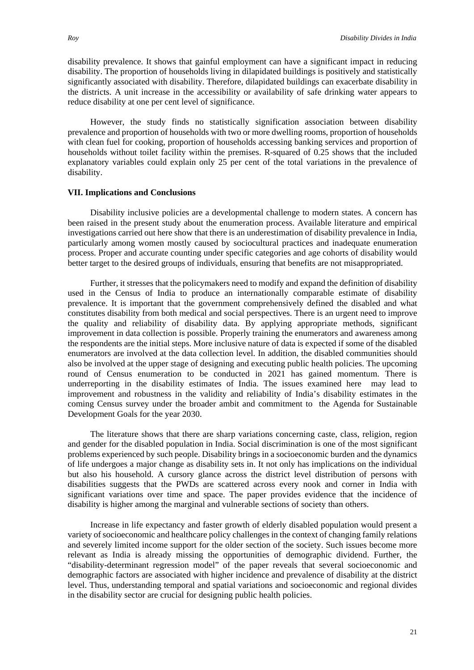disability prevalence. It shows that gainful employment can have a significant impact in reducing disability. The proportion of households living in dilapidated buildings is positively and statistically significantly associated with disability. Therefore, dilapidated buildings can exacerbate disability in the districts. A unit increase in the accessibility or availability of safe drinking water appears to reduce disability at one per cent level of significance.

However, the study finds no statistically signification association between disability prevalence and proportion of households with two or more dwelling rooms, proportion of households with clean fuel for cooking, proportion of households accessing banking services and proportion of households without toilet facility within the premises. R-squared of 0.25 shows that the included explanatory variables could explain only 25 per cent of the total variations in the prevalence of disability.

## **VII. Implications and Conclusions**

Disability inclusive policies are a developmental challenge to modern states. A concern has been raised in the present study about the enumeration process. Available literature and empirical investigations carried out here show that there is an underestimation of disability prevalence in India, particularly among women mostly caused by sociocultural practices and inadequate enumeration process. Proper and accurate counting under specific categories and age cohorts of disability would better target to the desired groups of individuals, ensuring that benefits are not misappropriated.

Further, it stresses that the policymakers need to modify and expand the definition of disability used in the Census of India to produce an internationally comparable estimate of disability prevalence. It is important that the government comprehensively defined the disabled and what constitutes disability from both medical and social perspectives. There is an urgent need to improve the quality and reliability of disability data. By applying appropriate methods, significant improvement in data collection is possible. Properly training the enumerators and awareness among the respondents are the initial steps. More inclusive nature of data is expected if some of the disabled enumerators are involved at the data collection level. In addition, the disabled communities should also be involved at the upper stage of designing and executing public health policies. The upcoming round of Census enumeration to be conducted in 2021 has gained momentum. There is underreporting in the disability estimates of India. The issues examined here may lead to improvement and robustness in the validity and reliability of India's disability estimates in the coming Census survey under the broader ambit and commitment to the Agenda for Sustainable Development Goals for the year 2030.

The literature shows that there are sharp variations concerning caste, class, religion, region and gender for the disabled population in India. Social discrimination is one of the most significant problems experienced by such people. Disability brings in a socioeconomic burden and the dynamics of life undergoes a major change as disability sets in. It not only has implications on the individual but also his household. A cursory glance across the district level distribution of persons with disabilities suggests that the PWDs are scattered across every nook and corner in India with significant variations over time and space. The paper provides evidence that the incidence of disability is higher among the marginal and vulnerable sections of society than others.

Increase in life expectancy and faster growth of elderly disabled population would present a variety of socioeconomic and healthcare policy challenges in the context of changing family relations and severely limited income support for the older section of the society. Such issues become more relevant as India is already missing the opportunities of demographic dividend. Further, the "disability-determinant regression model" of the paper reveals that several socioeconomic and demographic factors are associated with higher incidence and prevalence of disability at the district level. Thus, understanding temporal and spatial variations and socioeconomic and regional divides in the disability sector are crucial for designing public health policies.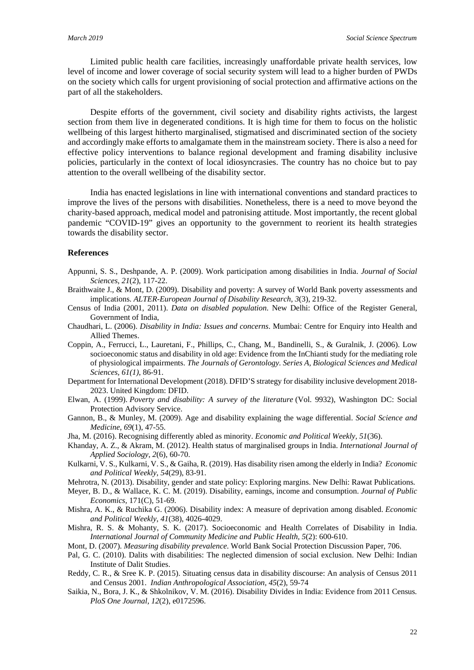Limited public health care facilities, increasingly unaffordable private health services, low level of income and lower coverage of social security system will lead to a higher burden of PWDs on the society which calls for urgent provisioning of social protection and affirmative actions on the part of all the stakeholders.

Despite efforts of the government, civil society and disability rights activists, the largest section from them live in degenerated conditions. It is high time for them to focus on the holistic wellbeing of this largest hitherto marginalised, stigmatised and discriminated section of the society and accordingly make efforts to amalgamate them in the mainstream society. There is also a need for effective policy interventions to balance regional development and framing disability inclusive policies, particularly in the context of local idiosyncrasies. The country has no choice but to pay attention to the overall wellbeing of the disability sector.

India has enacted legislations in line with international conventions and standard practices to improve the lives of the persons with disabilities. Nonetheless, there is a need to move beyond the charity-based approach, medical model and patronising attitude. Most importantly, the recent global pandemic "COVID-19" gives an opportunity to the government to reorient its health strategies towards the disability sector.

## **References**

- Appunni, S. S., Deshpande, A. P. (2009). Work participation among disabilities in India. *Journal of Social Sciences*, *21*(2), 117-22.
- Braithwaite J., & Mont, D. (2009). Disability and poverty: A survey of World Bank poverty assessments and implications. *ALTER-European Journal of Disability Research*, *3*(3), 219-32.
- Census of India (2001, 2011). *Data on disabled population*. New Delhi: Office of the Register General, Government of India,
- Chaudhari, L. (2006). *Disability in India: Issues and concerns*. Mumbai: Centre for Enquiry into Health and Allied Themes.
- Coppin, A., Ferrucci, L., Lauretani, F., Phillips, C., Chang, M., Bandinelli, S., & Guralnik, J. (2006). Low socioeconomic status and disability in old age: Evidence from the InChianti study for the mediating role of physiological impairments. *The Journals of Gerontology. Series A, Biological Sciences and Medical Sciences, 61(1)*, 86-91.
- Department for International Development (2018). DFID'S strategy for disability inclusive development 2018- 2023. United Kingdom: DFID.
- Elwan, A. (1999). *Poverty and disability: A survey of the literature* (Vol. 9932), Washington DC: Social Protection Advisory Service.
- Gannon, B., & Munley, M. (2009). Age and disability explaining the wage differential. *Social Science and Medicine*, *69*(1), 47-55.
- Jha, M. (2016). Recognising differently abled as minority. *Economic and Political Weekly, 51*(36).
- Khanday, A. Z., & Akram, M. (2012). Health status of marginalised groups in India. *International Journal of Applied Sociology*, *2*(6), 60-70.
- Kulkarni, V. S., Kulkarni, V. S., & Gaiha, R. (2019). Has disability risen among the elderly in India? *Economic and Political Weekly*, *54*(29), 83-91.
- Mehrotra, N. (2013). Disability, gender and state policy: Exploring margins. New Delhi: Rawat Publications*.*
- Meyer, B. D., & Wallace, K. C. M. (2019). Disability, earnings, income and consumption. *Journal of Public Economics,* 171(C), 51-69.
- Mishra, A. K., & Ruchika G. (2006). Disability index: A measure of deprivation among disabled. *Economic and Political Weekly*, *41*(38), 4026-4029.
- Mishra, R. S. & Mohanty, S. K. (2017). Socioeconomic and Health Correlates of Disability in India. *International Journal of Community Medicine and Public Health, 5*(2): 600-610.
- Mont, D. (2007). *Measuring disability prevalence*. World Bank Social Protection Discussion Paper, 706.
- Pal, G. C. (2010). Dalits with disabilities: The neglected dimension of social exclusion. New Delhi: Indian Institute of Dalit Studies.
- Reddy, C. R., & Sree K. P. (2015). Situating census data in disability discourse: An analysis of Census 2011 and Census 2001. *Indian Anthropological Association, 45*(2), 59-74
- Saikia, N., Bora, J. K., & Shkolnikov, V. M. (2016). Disability Divides in India: Evidence from 2011 Census*. PloS One Journal, 12*(2), e0172596.